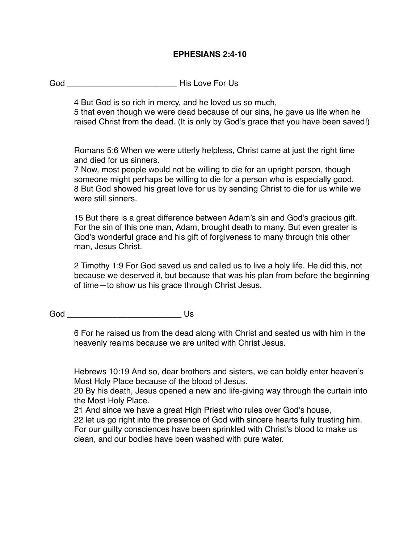## **EPHESIANS 2:4-10**

God **Example 2** His Love For Us

4 But God is so rich in mercy, and he loved us so much,

5 that even though we were dead because of our sins, he gave us life when he raised Christ from the dead. (It is only by God's grace that you have been saved!)

Romans 5:6 When we were utterly helpless, Christ came at just the right time and died for us sinners.

7 Now, most people would not be willing to die for an upright person, though someone might perhaps be willing to die for a person who is especially good. 8 But God showed his great love for us by sending Christ to die for us while we were still sinners.

15 But there is a great difference between Adam's sin and God's gracious gift. For the sin of this one man, Adam, brought death to many. But even greater is God's wonderful grace and his gift of forgiveness to many through this other man, Jesus Christ.

2 Timothy 1:9 For God saved us and called us to live a holy life. He did this, not because we deserved it, but because that was his plan from before the beginning of time—to show us his grace through Christ Jesus.

God \_\_\_\_\_\_\_\_\_\_\_\_\_\_\_\_\_\_\_\_\_\_\_\_\_ Us

6 For he raised us from the dead along with Christ and seated us with him in the heavenly realms because we are united with Christ Jesus.

Hebrews 10:19 And so, dear brothers and sisters, we can boldly enter heaven's Most Holy Place because of the blood of Jesus.

20 By his death, Jesus opened a new and life-giving way through the curtain into the Most Holy Place.

21 And since we have a great High Priest who rules over God's house,

22 let us go right into the presence of God with sincere hearts fully trusting him. For our guilty consciences have been sprinkled with Christ's blood to make us clean, and our bodies have been washed with pure water.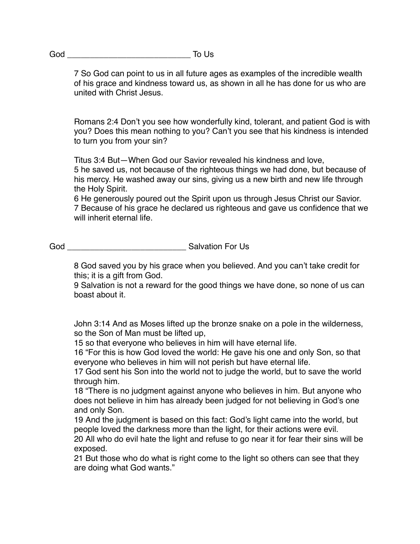7 So God can point to us in all future ages as examples of the incredible wealth of his grace and kindness toward us, as shown in all he has done for us who are united with Christ Jesus.

Romans 2:4 Don't you see how wonderfully kind, tolerant, and patient God is with you? Does this mean nothing to you? Can't you see that his kindness is intended to turn you from your sin?

Titus 3:4 But—When God our Savior revealed his kindness and love,

5 he saved us, not because of the righteous things we had done, but because of his mercy. He washed away our sins, giving us a new birth and new life through the Holy Spirit.

6 He generously poured out the Spirit upon us through Jesus Christ our Savior. 7 Because of his grace he declared us righteous and gave us confidence that we will inherit eternal life.

God God **Guide Communist Communist Communist Communist Communist Communist Communist Communist Communist Communist Communist Communist Communist Communist Communist Communist Communist Communist Communist Communist Communi** 

8 God saved you by his grace when you believed. And you can't take credit for this; it is a gift from God.

9 Salvation is not a reward for the good things we have done, so none of us can boast about it.

John 3:14 And as Moses lifted up the bronze snake on a pole in the wilderness, so the Son of Man must be lifted up,

15 so that everyone who believes in him will have eternal life.

16 "For this is how God loved the world: He gave his one and only Son, so that everyone who believes in him will not perish but have eternal life.

17 God sent his Son into the world not to judge the world, but to save the world through him.

18 "There is no judgment against anyone who believes in him. But anyone who does not believe in him has already been judged for not believing in God's one and only Son.

19 And the judgment is based on this fact: God's light came into the world, but people loved the darkness more than the light, for their actions were evil.

20 All who do evil hate the light and refuse to go near it for fear their sins will be exposed.

21 But those who do what is right come to the light so others can see that they are doing what God wants."